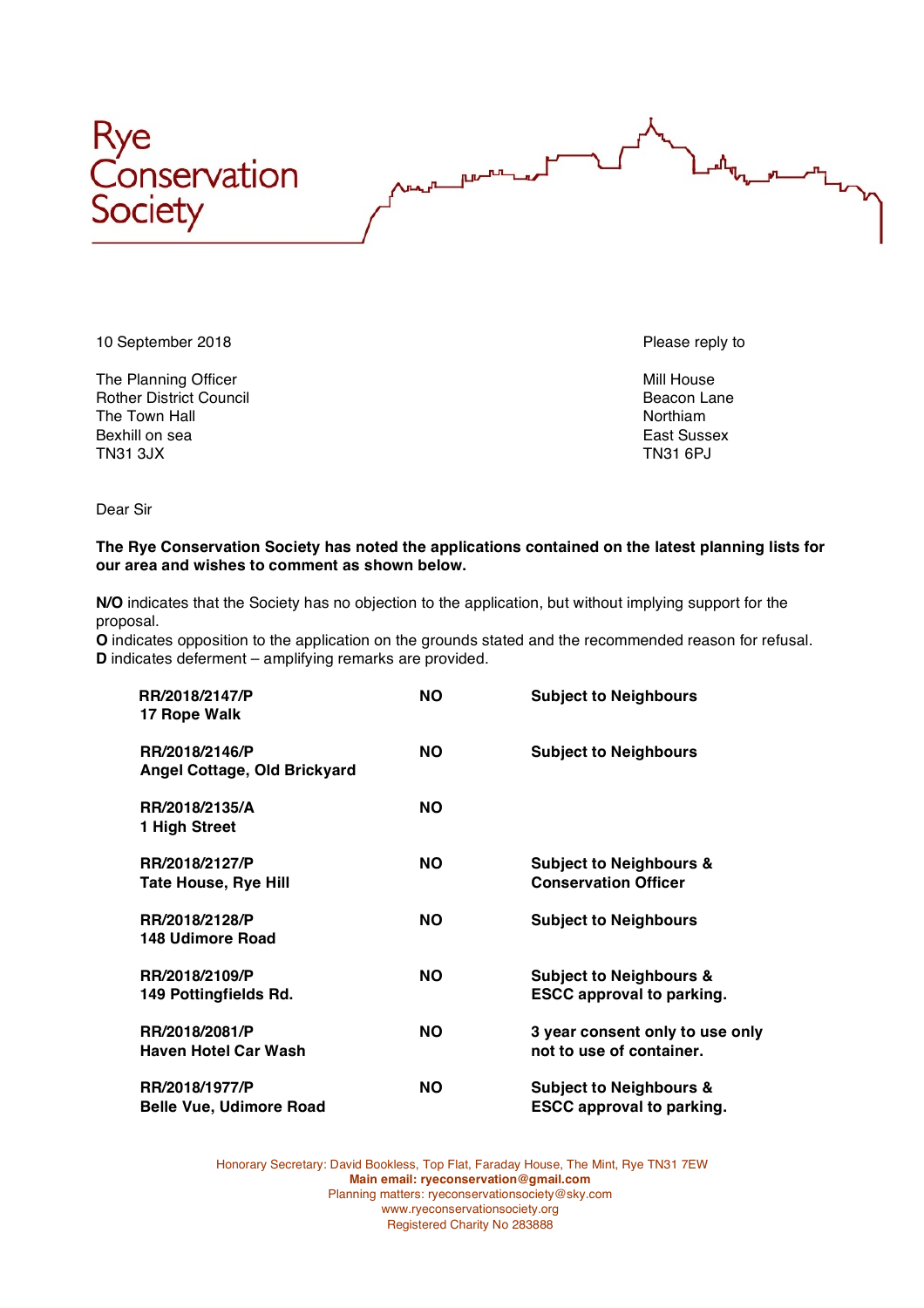



10 September 2018 **Please reply to the end of the end of the end of the end of the end of the end of the end of the end of the end of the end of the end of the end of the end of the end of the end of the end of the end of** 

The Planning Officer Mill House and The Planning Officer Mill House and The Planning Officer Rother District Council and the Town Hall Beacon Lane Council and The Town Hall Beacon Lane Rother and The Town Hall and The Town Hall and The Town Hall and The Town Hall and The Town Hall and The Town Hall and The Town Ha The Town Hall Bexhill on sea **East Sussex** East Sussex TN31 3JX TN31 6PJ

Dear Sir

## **The Rye Conservation Society has noted the applications contained on the latest planning lists for our area and wishes to comment as shown below.**

**N/O** indicates that the Society has no objection to the application, but without implying support for the proposal.

**O** indicates opposition to the application on the grounds stated and the recommended reason for refusal. **D** indicates deferment – amplifying remarks are provided.

| RR/2018/2147/P<br>17 Rope Walk                   | <b>NO</b> | <b>Subject to Neighbours</b>                                           |
|--------------------------------------------------|-----------|------------------------------------------------------------------------|
| RR/2018/2146/P<br>Angel Cottage, Old Brickyard   | <b>NO</b> | <b>Subject to Neighbours</b>                                           |
| RR/2018/2135/A<br>1 High Street                  | <b>NO</b> |                                                                        |
| RR/2018/2127/P<br><b>Tate House, Rye Hill</b>    | NO.       | <b>Subject to Neighbours &amp;</b><br><b>Conservation Officer</b>      |
| RR/2018/2128/P<br>148 Udimore Road               | <b>NO</b> | <b>Subject to Neighbours</b>                                           |
| RR/2018/2109/P<br>149 Pottingfields Rd.          | <b>NO</b> | <b>Subject to Neighbours &amp;</b><br><b>ESCC approval to parking.</b> |
| RR/2018/2081/P<br><b>Haven Hotel Car Wash</b>    | <b>NO</b> | 3 year consent only to use only<br>not to use of container.            |
| RR/2018/1977/P<br><b>Belle Vue, Udimore Road</b> | <b>NO</b> | <b>Subject to Neighbours &amp;</b><br><b>ESCC approval to parking.</b> |

Honorary Secretary: David Bookless, Top Flat, Faraday House, The Mint, Rye TN31 7EW **Main email: ryeconservation@gmail.com** Planning matters: ryeconservationsociety@sky.com www.ryeconservationsociety.org Registered Charity No 283888